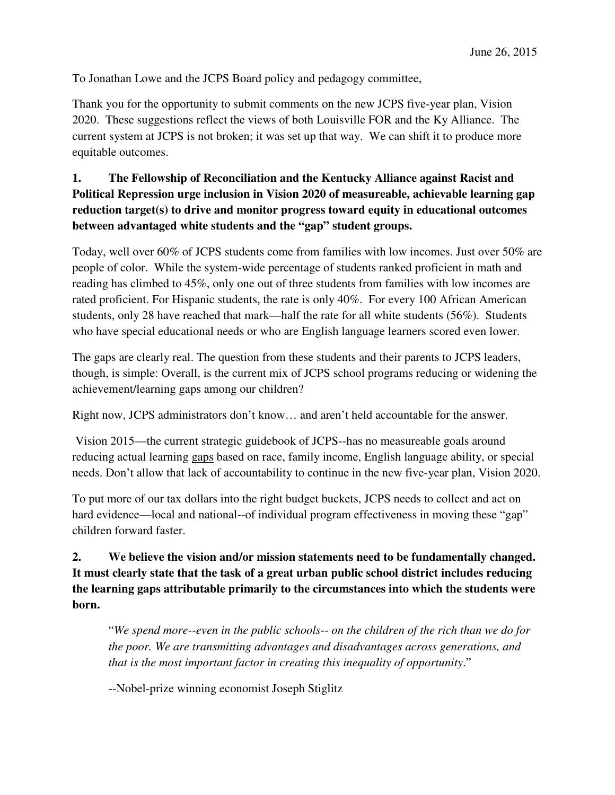To Jonathan Lowe and the JCPS Board policy and pedagogy committee,

Thank you for the opportunity to submit comments on the new JCPS five-year plan, Vision 2020. These suggestions reflect the views of both Louisville FOR and the Ky Alliance. The current system at JCPS is not broken; it was set up that way. We can shift it to produce more equitable outcomes.

## **1. The Fellowship of Reconciliation and the Kentucky Alliance against Racist and Political Repression urge inclusion in Vision 2020 of measureable, achievable learning gap reduction target(s) to drive and monitor progress toward equity in educational outcomes between advantaged white students and the "gap" student groups.**

Today, well over 60% of JCPS students come from families with low incomes. Just over 50% are people of color. While the system-wide percentage of students ranked proficient in math and reading has climbed to 45%, only one out of three students from families with low incomes are rated proficient. For Hispanic students, the rate is only 40%. For every 100 African American students, only 28 have reached that mark—half the rate for all white students (56%). Students who have special educational needs or who are English language learners scored even lower.

The gaps are clearly real. The question from these students and their parents to JCPS leaders, though, is simple: Overall, is the current mix of JCPS school programs reducing or widening the achievement/learning gaps among our children?

Right now, JCPS administrators don't know… and aren't held accountable for the answer.

 Vision 2015—the current strategic guidebook of JCPS--has no measureable goals around reducing actual learning gaps based on race, family income, English language ability, or special needs. Don't allow that lack of accountability to continue in the new five-year plan, Vision 2020.

To put more of our tax dollars into the right budget buckets, JCPS needs to collect and act on hard evidence—local and national--of individual program effectiveness in moving these "gap" children forward faster.

## **2. We believe the vision and/or mission statements need to be fundamentally changed. It must clearly state that the task of a great urban public school district includes reducing the learning gaps attributable primarily to the circumstances into which the students were born.**

"*We spend more--even in the public schools-- on the children of the rich than we do for the poor. We are transmitting advantages and disadvantages across generations, and that is the most important factor in creating this inequality of opportunity*."

--Nobel-prize winning economist Joseph Stiglitz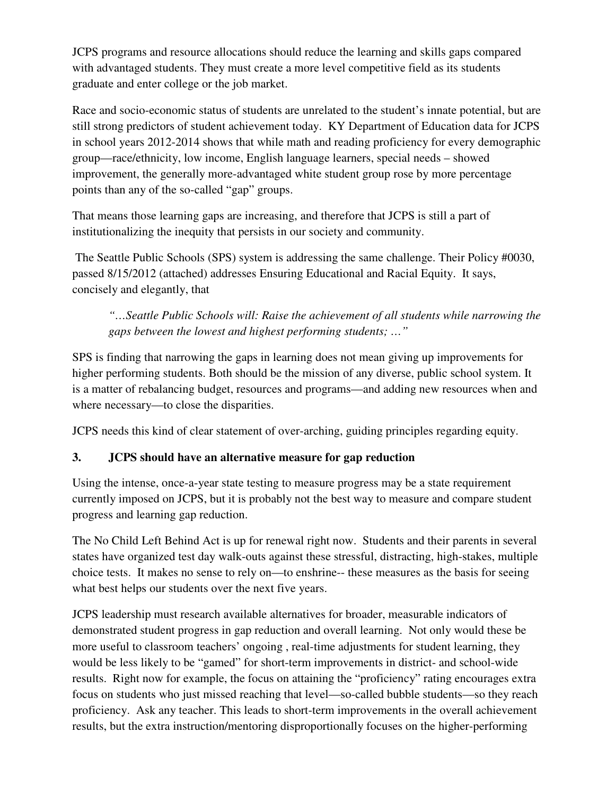JCPS programs and resource allocations should reduce the learning and skills gaps compared with advantaged students. They must create a more level competitive field as its students graduate and enter college or the job market.

Race and socio-economic status of students are unrelated to the student's innate potential, but are still strong predictors of student achievement today. KY Department of Education data for JCPS in school years 2012-2014 shows that while math and reading proficiency for every demographic group—race/ethnicity, low income, English language learners, special needs – showed improvement, the generally more-advantaged white student group rose by more percentage points than any of the so-called "gap" groups.

That means those learning gaps are increasing, and therefore that JCPS is still a part of institutionalizing the inequity that persists in our society and community.

 The Seattle Public Schools (SPS) system is addressing the same challenge. Their Policy #0030, passed 8/15/2012 (attached) addresses Ensuring Educational and Racial Equity. It says, concisely and elegantly, that

*"…Seattle Public Schools will: Raise the achievement of all students while narrowing the gaps between the lowest and highest performing students; …"* 

SPS is finding that narrowing the gaps in learning does not mean giving up improvements for higher performing students. Both should be the mission of any diverse, public school system. It is a matter of rebalancing budget, resources and programs—and adding new resources when and where necessary—to close the disparities.

JCPS needs this kind of clear statement of over-arching, guiding principles regarding equity.

# **3. JCPS should have an alternative measure for gap reduction**

Using the intense, once-a-year state testing to measure progress may be a state requirement currently imposed on JCPS, but it is probably not the best way to measure and compare student progress and learning gap reduction.

The No Child Left Behind Act is up for renewal right now. Students and their parents in several states have organized test day walk-outs against these stressful, distracting, high-stakes, multiple choice tests. It makes no sense to rely on—to enshrine-- these measures as the basis for seeing what best helps our students over the next five years.

JCPS leadership must research available alternatives for broader, measurable indicators of demonstrated student progress in gap reduction and overall learning. Not only would these be more useful to classroom teachers' ongoing , real-time adjustments for student learning, they would be less likely to be "gamed" for short-term improvements in district- and school-wide results. Right now for example, the focus on attaining the "proficiency" rating encourages extra focus on students who just missed reaching that level—so-called bubble students—so they reach proficiency. Ask any teacher. This leads to short-term improvements in the overall achievement results, but the extra instruction/mentoring disproportionally focuses on the higher-performing